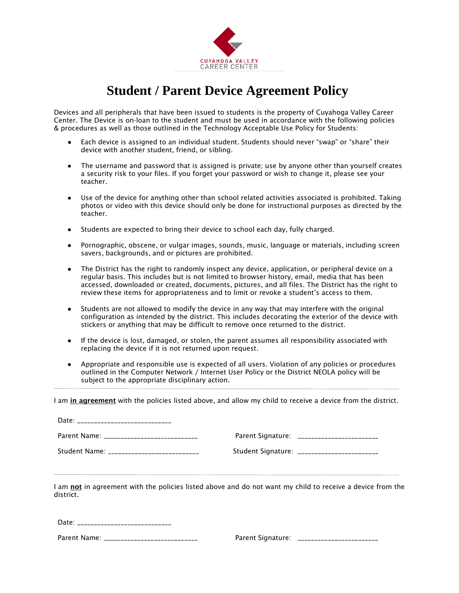

## **Student / Parent Device Agreement Policy**

Devices and all peripherals that have been issued to students is the property of Cuyahoga Valley Career Center. The Device is on-loan to the student and must be used in accordance with the following policies & procedures as well as those outlined in the Technology Acceptable Use Policy for Students:

- Each device is assigned to an individual student. Students should never "swap" or "share" their device with another student, friend, or sibling.
- The username and password that is assigned is private; use by anyone other than yourself creates a security risk to your files. If you forget your password or wish to change it, please see your teacher.
- Use of the device for anything other than school related activities associated is prohibited. Taking photos or video with this device should only be done for instructional purposes as directed by the teacher.
- Students are expected to bring their device to school each day, fully charged.
- Pornographic, obscene, or vulgar images, sounds, music, language or materials, including screen savers, backgrounds, and or pictures are prohibited.
- The District has the right to randomly inspect any device, application, or peripheral device on a regular basis. This includes but is not limited to browser history, email, media that has been accessed, downloaded or created, documents, pictures, and all files. The District has the right to review these items for appropriateness and to limit or revoke a student's access to them.
- Students are not allowed to modify the device in any way that may interfere with the original configuration as intended by the district. This includes decorating the exterior of the device with stickers or anything that may be difficult to remove once returned to the district.
- If the device is lost, damaged, or stolen, the parent assumes all responsibility associated with replacing the device if it is not returned upon request.
- Appropriate and responsible use is expected of all users. Violation of any policies or procedures outlined in the Computer Network / Internet User Policy or the District NEOLA policy will be subject to the appropriate disciplinary action.

I am in agreement with the policies listed above, and allow my child to receive a device from the district.

| Date: _________________________          |                                             |
|------------------------------------------|---------------------------------------------|
| Parent Name: ___________________________ | Parent Signature: ________________________  |
| Student Name: _________________________  | Student Signature: ________________________ |

I am not in agreement with the policies listed above and do not want my child to receive a device from the district.

Date: \_\_\_\_\_\_\_\_\_\_\_\_\_\_\_\_\_\_\_\_\_\_\_\_\_\_\_\_

Parent Name: \_\_\_\_\_\_\_\_\_\_\_\_\_\_\_\_\_\_\_\_\_\_\_\_\_\_\_\_ Parent Signature: \_\_\_\_\_\_\_\_\_\_\_\_\_\_\_\_\_\_\_\_\_\_\_\_